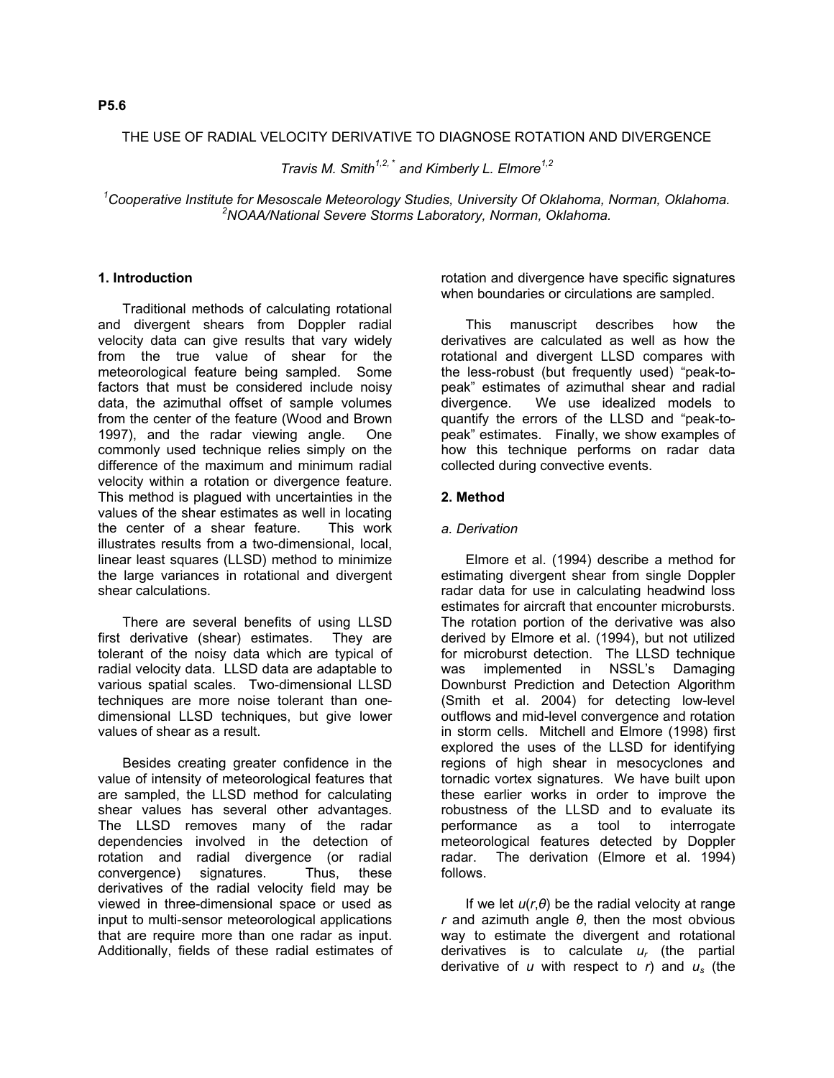## THE USE OF RADIAL VELOCITY DERIVATIVE TO DIAGNOSE ROTATION AND DIVERGENCE

*Travis M. Smith1,2,* \*  *and Kimberly L. Elmore1,2* 

<sup>1</sup>Cooperative Institute for Mesoscale Meteorology Studies, University Of Oklahoma, Norman, Oklahoma.<br><sup>2</sup>NOAA Altringal Severe Sterme Lebergtery, Narman Oklahoma, Oklahoma. *NOAA/National Severe Storms Laboratory, Norman, Oklahoma.*

# **1. Introduction**

Traditional methods of calculating rotational and divergent shears from Doppler radial velocity data can give results that vary widely from the true value of shear for the meteorological feature being sampled. Some factors that must be considered include noisy data, the azimuthal offset of sample volumes from the center of the feature (Wood and Brown 1997), and the radar viewing angle. One commonly used technique relies simply on the difference of the maximum and minimum radial velocity within a rotation or divergence feature. This method is plagued with uncertainties in the values of the shear estimates as well in locating the center of a shear feature. This work illustrates results from a two-dimensional, local, linear least squares (LLSD) method to minimize the large variances in rotational and divergent shear calculations.

There are several benefits of using LLSD first derivative (shear) estimates. They are tolerant of the noisy data which are typical of radial velocity data. LLSD data are adaptable to various spatial scales. Two-dimensional LLSD techniques are more noise tolerant than onedimensional LLSD techniques, but give lower values of shear as a result.

Besides creating greater confidence in the value of intensity of meteorological features that are sampled, the LLSD method for calculating shear values has several other advantages. The LLSD removes many of the radar dependencies involved in the detection of rotation and radial divergence (or radial convergence) signatures. Thus, these derivatives of the radial velocity field may be viewed in three-dimensional space or used as input to multi-sensor meteorological applications that are require more than one radar as input. Additionally, fields of these radial estimates of

rotation and divergence have specific signatures when boundaries or circulations are sampled.

This manuscript describes how the derivatives are calculated as well as how the rotational and divergent LLSD compares with the less-robust (but frequently used) "peak-topeak" estimates of azimuthal shear and radial divergence. We use idealized models to quantify the errors of the LLSD and "peak-topeak" estimates. Finally, we show examples of how this technique performs on radar data collected during convective events.

## **2. Method**

## *a. Derivation*

Elmore et al. (1994) describe a method for estimating divergent shear from single Doppler radar data for use in calculating headwind loss estimates for aircraft that encounter microbursts. The rotation portion of the derivative was also derived by Elmore et al. (1994), but not utilized for microburst detection. The LLSD technique was implemented in NSSL's Damaging Downburst Prediction and Detection Algorithm (Smith et al. 2004) for detecting low-level outflows and mid-level convergence and rotation in storm cells. Mitchell and Elmore (1998) first explored the uses of the LLSD for identifying regions of high shear in mesocyclones and tornadic vortex signatures. We have built upon these earlier works in order to improve the robustness of the LLSD and to evaluate its performance as a tool to interrogate meteorological features detected by Doppler radar. The derivation (Elmore et al. 1994) follows.

If we let  $u(r, \theta)$  be the radial velocity at range *r* and azimuth angle *θ*, then the most obvious way to estimate the divergent and rotational derivatives is to calculate *ur* (the partial derivative of *u* with respect to *r*) and *us* (the

# **P5.6**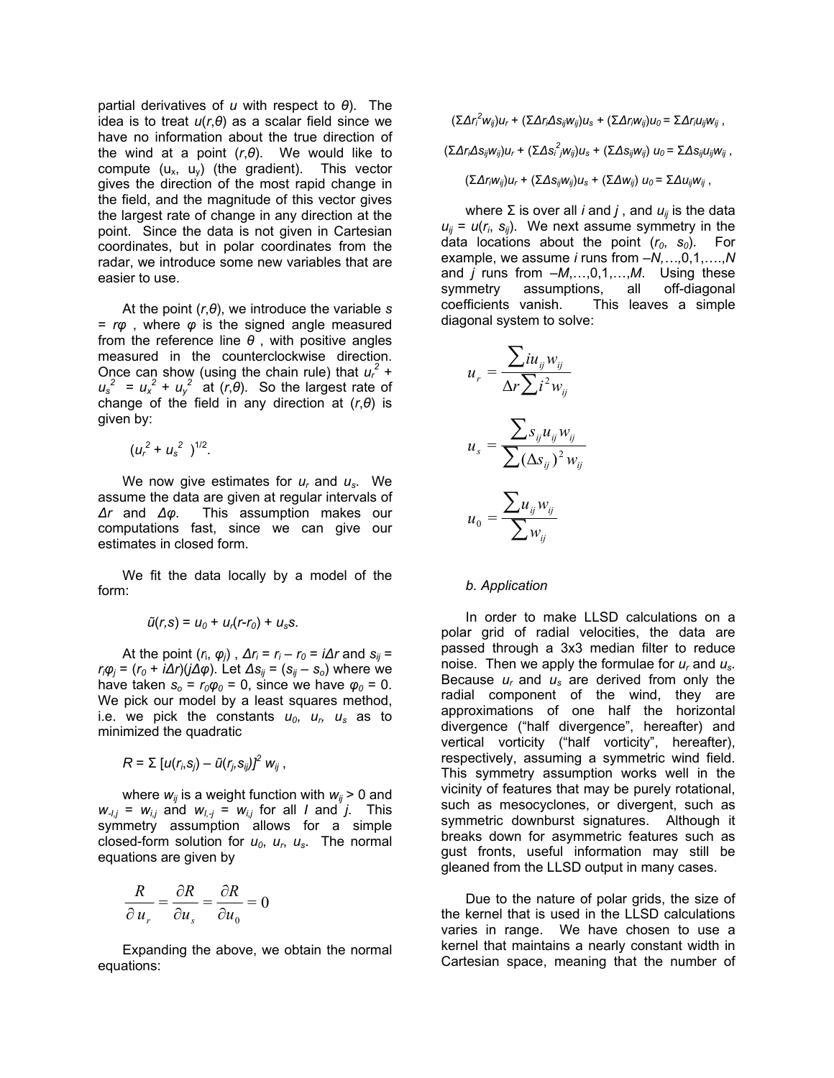partial derivatives of *u* with respect to *θ*). The idea is to treat *u*(*r*,*θ*) as a scalar field since we have no information about the true direction of the wind at a point (*r*,*θ*). We would like to compute  $(u_x, u_y)$  (the gradient). This vector gives the direction of the most rapid change in the field, and the magnitude of this vector gives the largest rate of change in any direction at the point. Since the data is not given in Cartesian coordinates, but in polar coordinates from the radar, we introduce some new variables that are easier to use.

At the point  $(r, \theta)$ , we introduce the variable  $s$  coefficients vanish.<br>At the solve: a solve: a solve: angle measured diagonal system to solve: = *rφ* , where *φ* is the signed angle measured from the reference line *θ* , with positive angles measured in the counterclockwise direction. Once can show (using the chain rule) that  $u_r^2$  +  $u_s^2 = u_x^2 + u_y^2$  at (*r*,*θ*). So the largest rate of change of the field in any direction at (*r*,*θ*) is given by:

 $(u_r^2 + u_s^2)^{1/2}$ .

We now give estimates for *ur* and *us*. We assume the data are given at regular intervals of *∆r* and *∆φ*. This assumption makes our computations fast, since we can give our  $u_0 = \sum$  estimates in closed form.

We fit the data locally by a model of the form: *b. Application*

$$
\tilde{u}(r,s) = u_0 + u_r(r-r_0) + u_s s.
$$

At the point  $(r_i, \varphi_j)$ ,  $\Delta r_i = r_i - r_0 = i \Delta r$  and  $s_{ij} =$ *r<sub>i</sub>φ<sub>j</sub>* = (*r*<sub>0</sub> + *i∆r*)(*j∆φ*). Let *∆s<sub>ij</sub>* = (*s<sub>ij</sub>* – *s*<sub>o</sub>) where we have taken  $s_0 = r_0 \varphi_0 = 0$ , since we have  $\varphi_0 = 0$ . We pick our model by a least squares method, i.e. we pick the constants  $u_0$ ,  $u_r$ ,  $u_s$  as to minimized the quadratic

$$
R = \sum [u(r_i,s_j) - \tilde{u}(r_j,s_{ij})]^2 w_{ij},
$$

where  $w_{ii}$  is a weight function with  $w_{ii}$  > 0 and  $w_{-1,j} = w_{j,j}$  and  $w_{j,j} = w_{j,j}$  for all *I* and *j*. This symmetry assumption allows for a simple closed-form solution for  $u_0$ ,  $u_r$ ,  $u_s$ . The normal equations are given by

$$
\frac{R}{\partial u_r} = \frac{\partial R}{\partial u_s} = \frac{\partial R}{\partial u_0} = 0
$$

equations:

 $(\Sigma \Delta r_i^2 w_{ij}) u_r + (\Sigma \Delta r_i \Delta s_{ij} w_{ij}) u_s + (\Sigma \Delta r_i w_{ij}) u_0 = \Sigma \Delta r_i u_{ij} w_{ij}$ ,

 $(\sum \Delta r_i \Delta s_{ij} w_{ij}) u_r + (\sum \Delta s_i^2 j w_{ij}) u_s + (\sum \Delta s_{ij} w_{ij}) u_0 = \sum \Delta s_{ij} u_{ij} w_{ij}$ ,

 $(\Sigma Δr_iw_{ij})u_r + (\Sigma Δs_{ij}w_{ij})u_s + (\Sigma Δw_{ij}) u_0 = \Sigma Δu_{ij}w_{ij}$ ,

where  $\Sigma$  is over all *i* and *j*, and  $u_{ii}$  is the data  $u_{ij} = u(r_i, s_{ij})$ . We next assume symmetry in the data locations about the point  $(r_0, s_0)$ . For example, we assume *i* runs from –*N,…,*0,1,….,*N* and *j* runs from –*M*,…,0,1,…,*M*. Using these symmetry assumptions, all off-diagonal coefficients vanish. This leaves a simple

$$
u_r = \frac{\sum i u_{ij} w_{ij}}{\Delta r \sum i^2 w_{ij}}
$$

$$
u_s = \frac{\sum s_{ij} u_{ij} w_{ij}}{\sum (\Delta s_{ij})^2 w_{ij}}
$$

$$
u_0 = \frac{\sum u_{ij} w_{ij}}{\sum w_{ij}}
$$

In order to make LLSD calculations on a polar grid of radial velocities, the data are passed through a 3x3 median filter to reduce noise. Then we apply the formulae for *ur* and *us*. Because *ur* and *us* are derived from only the radial component of the wind, they are approximations of one half the horizontal divergence ("half divergence", hereafter) and vertical vorticity ("half vorticity", hereafter), respectively, assuming a symmetric wind field. This symmetry assumption works well in the vicinity of features that may be purely rotational, such as mesocyclones, or divergent, such as symmetric downburst signatures. Although it breaks down for asymmetric features such as gust fronts, useful information may still be gleaned from the LLSD output in many cases.

Due to the nature of polar grids, the size of the kernel that is used in the LLSD calculations varies in range. We have chosen to use a kernel that maintains a nearly constant width in Expanding the above, we obtain the normal<br>Cartesian space, meaning that the number of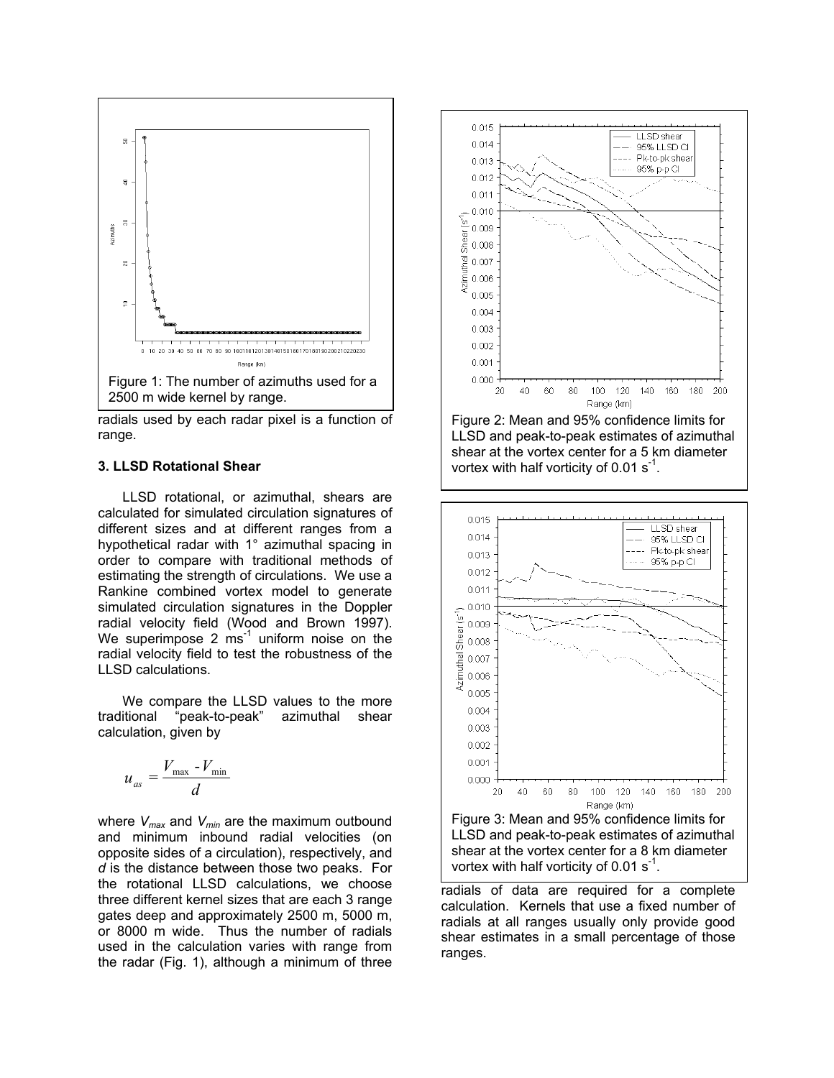

radials used by each radar pixel is a function of range.

### **3. LLSD Rotational Shear**

LLSD rotational, or azimuthal, shears are calculated for simulated circulation signatures of different sizes and at different ranges from a hypothetical radar with 1° azimuthal spacing in order to compare with traditional methods of estimating the strength of circulations. We use a Rankine combined vortex model to generate simulated circulation signatures in the Doppler radial velocity field (Wood and Brown 1997). We superimpose 2  $ms<sup>-1</sup>$  uniform noise on the radial velocity field to test the robustness of the LLSD calculations.

We compare the LLSD values to the more traditional "peak-to-peak" azimuthal shear calculation, given by

$$
u_{as} = \frac{V_{\text{max}} - V_{\text{min}}}{d}
$$

where *Vmax* and *Vmin* are the maximum outbound and minimum inbound radial velocities (on opposite sides of a circulation), respectively, and *d* is the distance between those two peaks. For the rotational LLSD calculations, we choose three different kernel sizes that are each 3 range gates deep and approximately 2500 m, 5000 m, or 8000 m wide. Thus the number of radials used in the calculation varies with range from the radar (Fig. 1), although a minimum of three



Figure 2: Mean and 95% confidence limits for LLSD and peak-to-peak estimates of azimuthal shear at the vortex center for a 5 km diameter vortex with half vorticity of  $0.01$  s<sup>-1</sup>.



Figure 3: Mean and 95% confidence limits for LLSD and peak-to-peak estimates of azimuthal shear at the vortex center for a 8 km diameter vortex with half vorticity of  $0.01$  s<sup>-1</sup>.

radials of data are required for a complete calculation. Kernels that use a fixed number of radials at all ranges usually only provide good shear estimates in a small percentage of those ranges.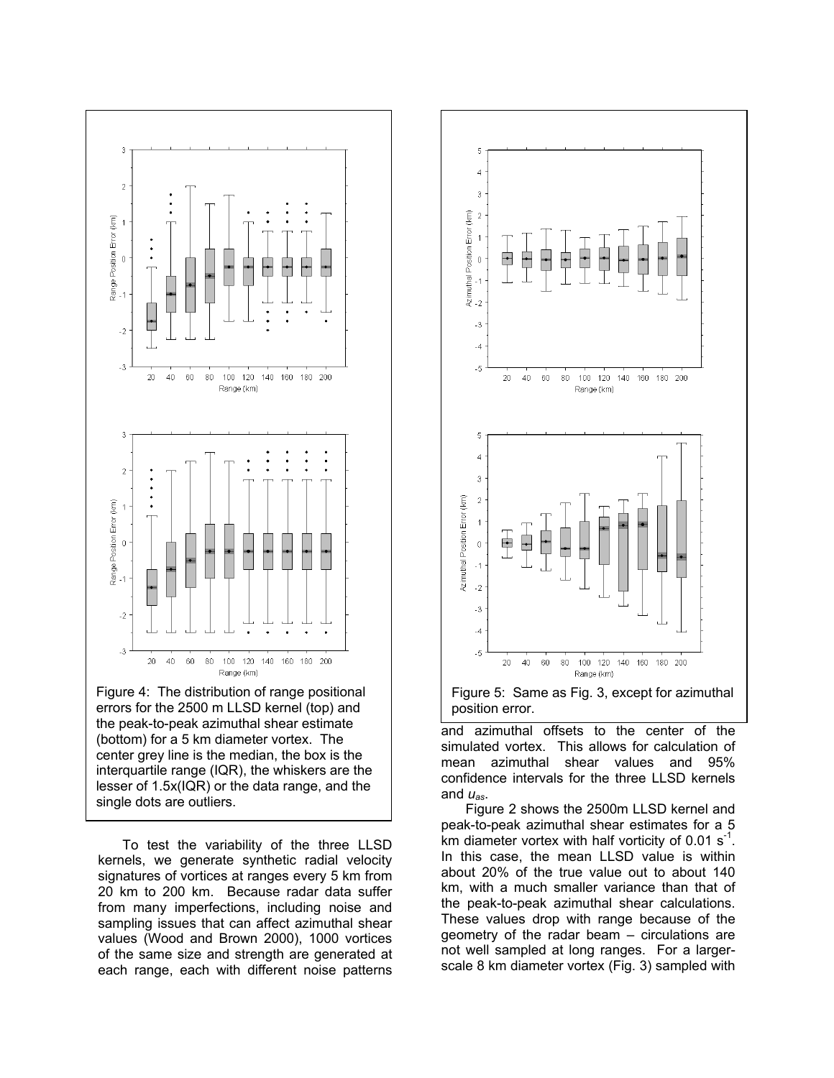

Figure 4: The distribution of range positional errors for the 2500 m LLSD kernel (top) and the peak-to-peak azimuthal shear estimate (bottom) for a 5 km diameter vortex. The center grey line is the median, the box is the interquartile range (IQR), the whiskers are the lesser of 1.5x(IQR) or the data range, and the single dots are outliers.

To test the variability of the three LLSD kernels, we generate synthetic radial velocity signatures of vortices at ranges every 5 km from 20 km to 200 km. Because radar data suffer from many imperfections, including noise and sampling issues that can affect azimuthal shear values (Wood and Brown 2000), 1000 vortices of the same size and strength are generated at each range, each with different noise patterns



and azimuthal offsets to the center of the simulated vortex. This allows for calculation of mean azimuthal shear values and 95% confidence intervals for the three LLSD kernels and *uas*.

Figure 2 shows the 2500m LLSD kernel and peak-to-peak azimuthal shear estimates for a 5 km diameter vortex with half vorticity of 0.01  $s^{-1}$ . In this case, the mean LLSD value is within about 20% of the true value out to about 140 km, with a much smaller variance than that of the peak-to-peak azimuthal shear calculations. These values drop with range because of the geometry of the radar beam – circulations are not well sampled at long ranges. For a largerscale 8 km diameter vortex (Fig. 3) sampled with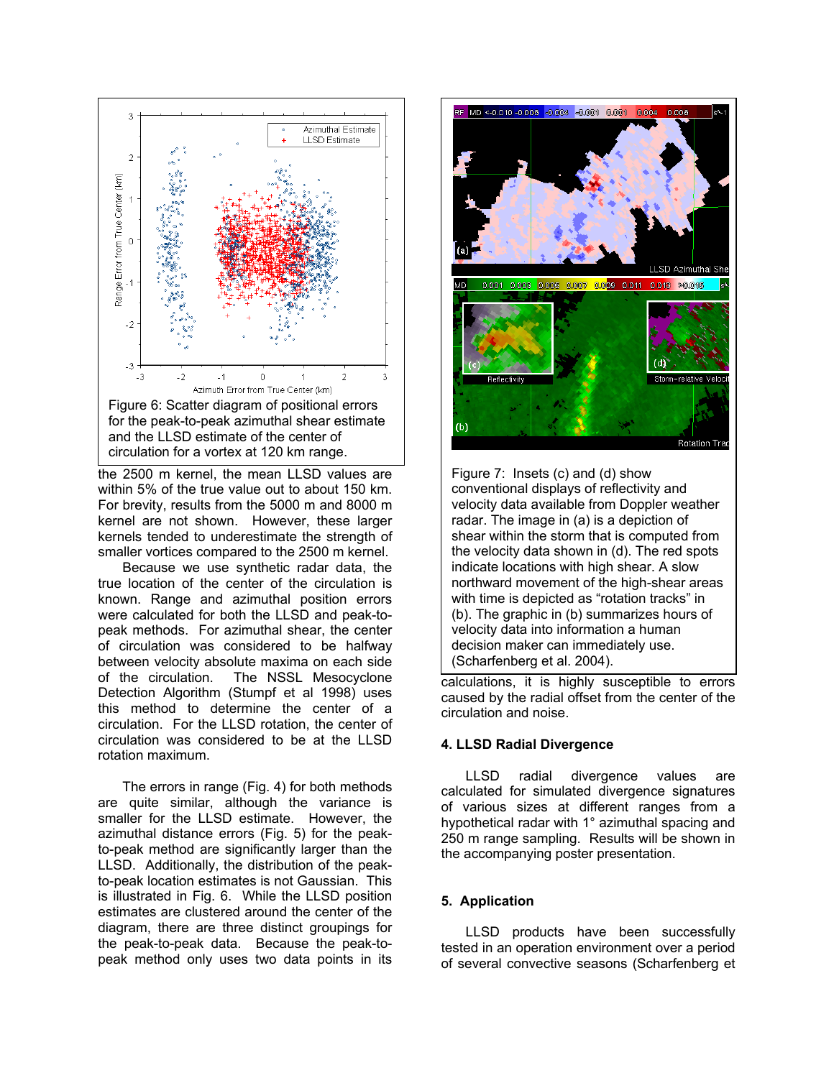

the 2500 m kernel, the mean LLSD values are within 5% of the true value out to about 150 km. For brevity, results from the 5000 m and 8000 m kernel are not shown. However, these larger kernels tended to underestimate the strength of smaller vortices compared to the 2500 m kernel.

Because we use synthetic radar data, the true location of the center of the circulation is known. Range and azimuthal position errors were calculated for both the LLSD and peak-topeak methods. For azimuthal shear, the center of circulation was considered to be halfway between velocity absolute maxima on each side of the circulation. The NSSL Mesocyclone Detection Algorithm (Stumpf et al 1998) uses this method to determine the center of a circulation. For the LLSD rotation, the center of circulation was considered to be at the LLSD rotation maximum.

The errors in range (Fig. 4) for both methods are quite similar, although the variance is smaller for the LLSD estimate. However, the azimuthal distance errors (Fig. 5) for the peakto-peak method are significantly larger than the LLSD. Additionally, the distribution of the peakto-peak location estimates is not Gaussian. This is illustrated in Fig. 6. While the LLSD position estimates are clustered around the center of the diagram, there are three distinct groupings for the peak-to-peak data. Because the peak-topeak method only uses two data points in its



Figure 7: Insets (c) and (d) show conventional displays of reflectivity and velocity data available from Doppler weather radar. The image in (a) is a depiction of shear within the storm that is computed from the velocity data shown in (d). The red spots indicate locations with high shear. A slow northward movement of the high-shear areas with time is depicted as "rotation tracks" in (b). The graphic in (b) summarizes hours of velocity data into information a human decision maker can immediately use. (Scharfenberg et al. 2004).

calculations, it is highly susceptible to errors caused by the radial offset from the center of the circulation and noise.

### **4. LLSD Radial Divergence**

LLSD radial divergence values are calculated for simulated divergence signatures of various sizes at different ranges from a hypothetical radar with 1° azimuthal spacing and 250 m range sampling. Results will be shown in the accompanying poster presentation.

# **5. Application**

LLSD products have been successfully tested in an operation environment over a period of several convective seasons (Scharfenberg et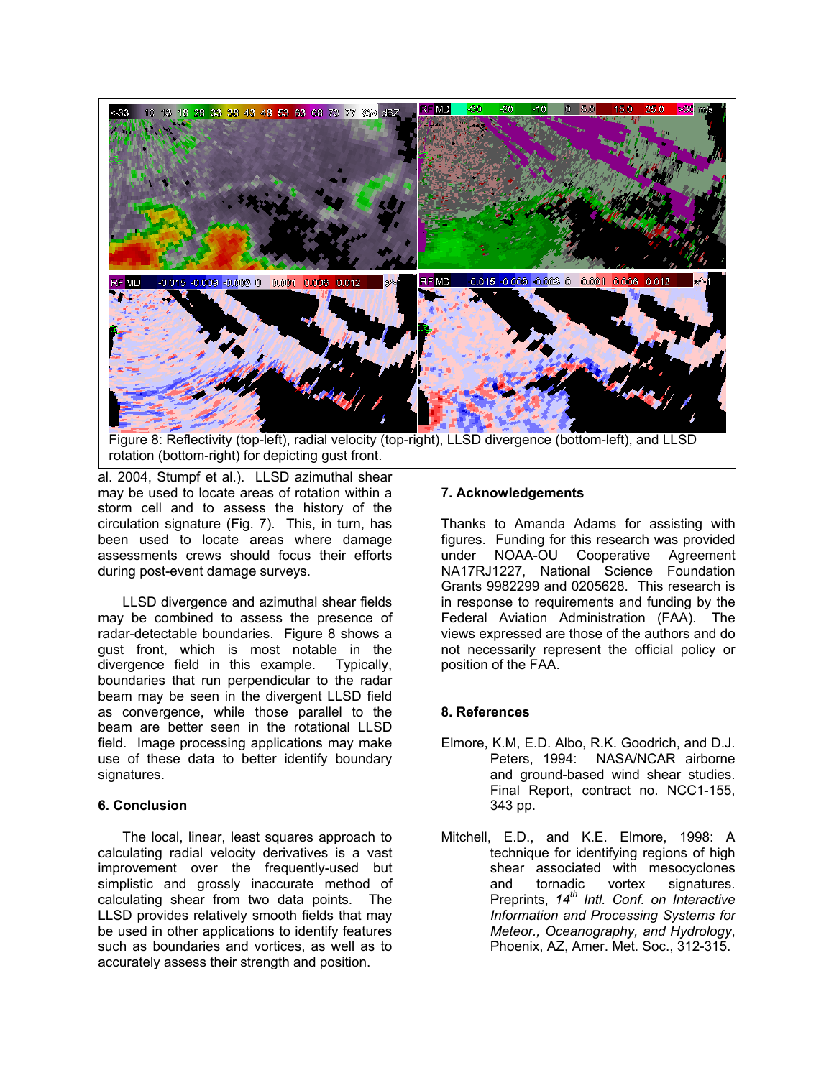

rotation (bottom-right) for depicting gust front.

al. 2004, Stumpf et al.). LLSD azimuthal shear may be used to locate areas of rotation within a storm cell and to assess the history of the circulation signature (Fig. 7). This, in turn, has been used to locate areas where damage assessments crews should focus their efforts during post-event damage surveys.

LLSD divergence and azimuthal shear fields may be combined to assess the presence of radar-detectable boundaries. Figure 8 shows a gust front, which is most notable in the divergence field in this example. Typically, boundaries that run perpendicular to the radar beam may be seen in the divergent LLSD field as convergence, while those parallel to the beam are better seen in the rotational LLSD field. Image processing applications may make use of these data to better identify boundary signatures.

The local, linear, least squares approach to calculating radial velocity derivatives is a vast improvement over the frequently-used but simplistic and grossly inaccurate method of calculating shear from two data points. The LLSD provides relatively smooth fields that may be used in other applications to identify features such as boundaries and vortices, as well as to accurately assess their strength and position.

## **7. Acknowledgements**

Thanks to Amanda Adams for assisting with figures. Funding for this research was provided under NOAA-OU Cooperative Agreement NA17RJ1227, National Science Foundation Grants 9982299 and 0205628. This research is in response to requirements and funding by the Federal Aviation Administration (FAA). The views expressed are those of the authors and do not necessarily represent the official policy or position of the FAA.

# **8. References**

- Elmore, K.M, E.D. Albo, R.K. Goodrich, and D.J. Peters, 1994: NASA/NCAR airborne and ground-based wind shear studies. Final Report, contract no. NCC1-155, **6. Conclusion** 343 pp.
	- Mitchell, E.D., and K.E. Elmore, 1998: A technique for identifying regions of high shear associated with mesocyclones and tornadic vortex signatures. Preprints, *14th Intl. Conf. on Interactive Information and Processing Systems for Meteor., Oceanography, and Hydrology*, Phoenix, AZ, Amer. Met. Soc., 312-315.